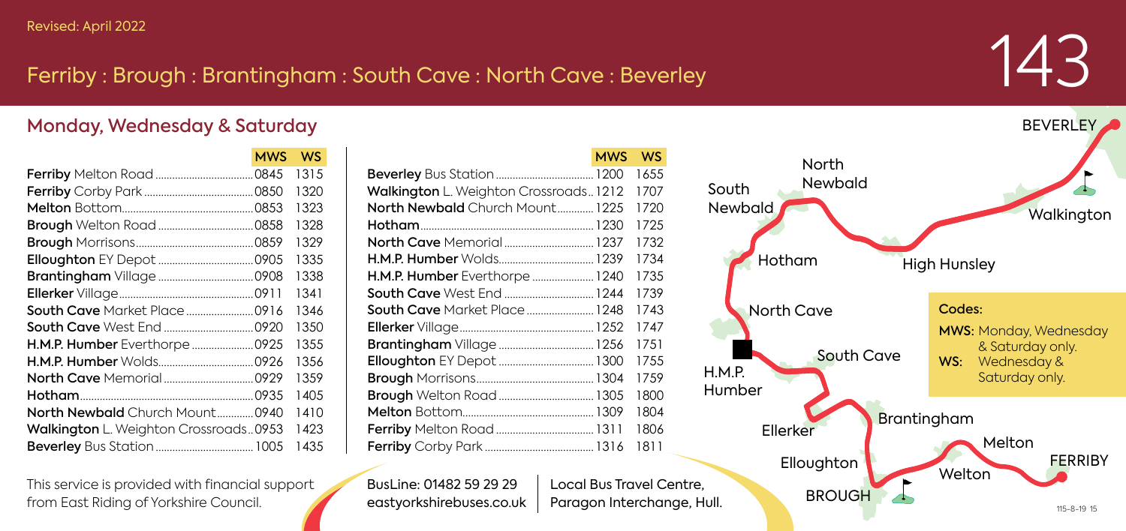## Ferriby : Brough : Brantingham : South Cave : North Cave : Beverley

 $MSE = MSE$ 

## 143

## Monday, Wednesday & Saturday

|                                       | MWS | <b>WV.S</b> |
|---------------------------------------|-----|-------------|
|                                       |     | 1315        |
|                                       |     | 1320        |
|                                       |     | 1323        |
|                                       |     | 1328        |
|                                       |     | 1329        |
|                                       |     | 1335        |
|                                       |     | 1338        |
|                                       |     | 1341        |
| South Cave Market Place  0916         |     | 1346        |
|                                       |     | 1350        |
| H.M.P. Humber Everthorpe  0925        |     | 1355        |
|                                       |     | 1356        |
|                                       |     | 1359        |
|                                       |     | 1405        |
| North Newbald Church Mount 0940       |     | 1410        |
| Walkington L. Weighton Crossroads0953 |     | 1423        |
|                                       |     | 1435        |

| This service is provided with financial support |
|-------------------------------------------------|
| from East Riding of Yorkshire Council.          |

|                                       | <b>MWS</b> | <b>WS</b> |
|---------------------------------------|------------|-----------|
|                                       |            | 1655      |
| Walkington L. Weighton Crossroads1212 |            | 1707      |
| North Newbald Church Mount 1225       |            | 1720      |
|                                       |            | 1725      |
| North Cave Memorial 1237              |            | 1732      |
| H.M.P. Humber Wolds 1239              |            | 1734      |
| H.M.P. Humber Everthorpe  1240        |            | 1735      |
| South Cave West End  1244             |            | 1739      |
| <b>South Cave</b> Market Place 1248   |            | 1743      |
|                                       |            | 1747      |
|                                       |            | 1751      |
|                                       |            | 1755      |
|                                       |            | 1759      |
| <b>Brough</b> Welton Road 1305        |            | 1800      |
|                                       |            | 1804      |
| Ferriby Melton Road  1311             |            | 1806      |
|                                       |            | 1811      |

BusLine: 01482 59 29 29 eastyorkshirebuses.co.uk Local Bus Travel Centre,